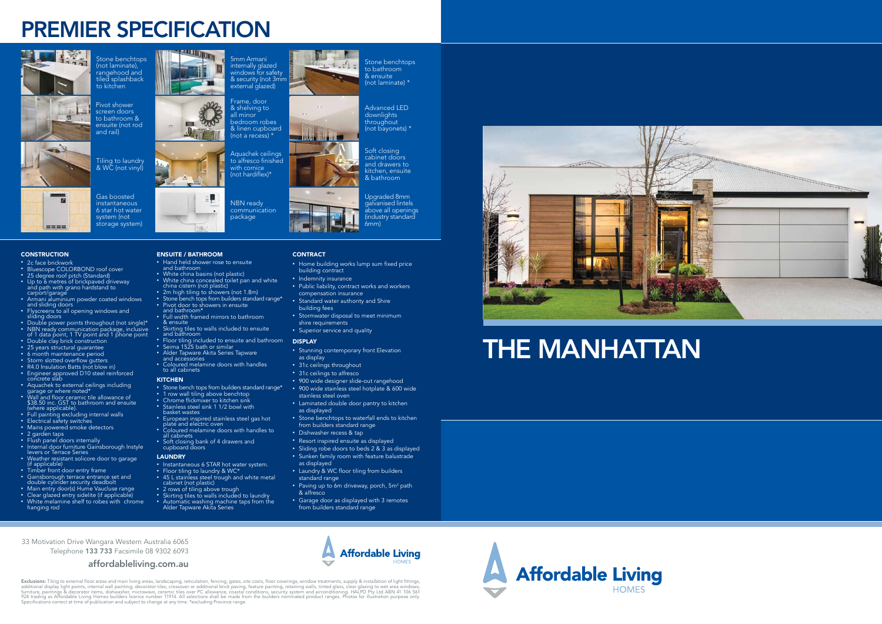# PREMIER SPECIFICATION





 $\overline{a}$ 

 $m = m$ 



- 
- 2c face brickwork<br>• Bluescope COLORBOND roof cover
- 25 degree roof pitch (Standard)
- Up to 6 metres of brickpaved driveway and path with grano hardstand to carport/garage
- Armani aluminium powder coated windows and sliding doors
- Flyscreens to all opening windows and sliding doors • Double power points throughout (not single)\*
- NBN ready communication package, inclusive of 1 data point, 1 TV point and 1 phone point
- Double clay brick construction
- 25 years structural guarantee
- 6 month maintenance period
- Storm slotted overflow gutters
- R4.0 Insulation Batts (not blow in) • Engineer approved D10 steel reinforced
- concrete slab
- Aquachek to external ceilings including garage or where noted\* Wall and floor ceramic tile allowance of \$38.50 inc. GST to bathroom and ensuite<br>(where applicable).
- Full painting excluding internal walls
- Electrical safety switches
- Mains powered smoke detectors
- 2 garden taps
- Flush panel doors internally
- Internal door furniture Gainsborough Instyle levers or Terrace Series
- Weather resistant solicore door to garage (if applicable)
- Timber front door entry frame
- Gainsborough terrace entrance set and double cylinder security deadbolt
- Main entry door(s) Hume Vaucluse range
- Clear glazed entry sidelite (if applicable) • White melamine shelf to robes with chrome
- hanging rod
- Hand held shower rose to ensuite
- and bathroom<br>• White china basins (not plastic) • White china concealed toilet pan and white

Booth

- Stone bench tops from builders standard range\*
- 1 row wall tiling above benchtop • Chrome flickmixer to kitchen sink
- Stainless steel sink 1 1/2 bowl with
- basket wastes
- European inspired stainless steel gas hot plate and electric oven
- Coloured melamine doors with handles to all cabinets • Soft closing bank of 4 drawers and cupboard doors

ENSUITE / BATHROOM

- china cistern (not plastic)
- 2m high tiling to showers (not 1.8m) • Stone bench tops from builders standard range\*
- Pivot door to showers in ensuite and bathroom\*
- Full width framed mirrors to bathroom & ensuite
- Skirting tiles to walls included to ensuite and bathroom
- 
- Alder Tapware Akita Series Tapware and accessories
- Coloured melamine doors with handles to all cabinets

#### **KITCHEN**

- - Floor tiling included to ensuite and bathroom
	- Seima 1525 bath or similar

**Exclusions:** Tiling to external floor areas and main living areas, landscaping, reticulation, fencing, gates, site costs, floor coverings, window treatments, supply & installation of light fittings,<br>additional display lig Specifications correct at time of publication and subject to change at any time. \*excluding Province range.

#### LAUNDRY

- Instantaneous 6 STAR hot water system.
- Floor tiling to laundry & WC\*
- 45 L stainless steel trough and white metal cabinet (not plastic)
- 2 rows of tiling above trough • Skirting tiles to walls included to laundry
- 
- Automatic washing machine taps from the Alder Tapware Akita Series

## **CONTRACT**

Soft closing cabinet doors

galvanised lintels above all openings (industry standard

- Home building works lump sum fixed price building contract
- Indemnity insurance
- Public liability, contract works and workers compensation insurance
- Standard water authority and Shire building fees
- Stormwater disposal to meet minimum shire requirements
- Superior service and quality

### DISPLAY

- Stunning contemporary front Elevation as display
- 31c ceilings throughout
- 31c ceilings to alfresco
- 900 wide designer slide-out rangehood
- 900 wide stainless steel hotplate & 600 wide stainless steel oven
- Laminated double door pantry to kitchen as displayed
- Stone benchtops to waterfall ends to kitchen from builders standard range
- Dishwasher recess & tap
- Resort inspired ensuite as displayed
- Sliding robe doors to beds 2 & 3 as displayed • Sunken family room with feature balustrade
- as displayed • Laundry & WC floor tiling from builders
- standard range • Paving up to 6m driveway, porch, 5m<sup>2</sup> path & alfresco
- Garage door as displayed with 3 remotes from builders standard range



Stone benchtops (not laminate), rangehood and tiled splashback to kitchen

Pivot shower







Gas boosted instantaneous 6 star hot water system (not storage system)

**FOR** 



Frame, door & shelving to all minor bedroom robes & linen cupboard

(not a recess)  $*$ 

Aquachek ceilings to alfresco finished with cornice



NBN ready communication

package

 $-1 - t + 1$ 

Stone benchtops to bathroom & ensuite (not laminate) \*

Advanced LED downlights throughout (not bayonets) \*

and drawers to kitchen, ensuite & bathroom Upgraded 8mm



33 Motivation Drive Wangara Western Australia 6065

Telephone 133 733 Facsimile 08 9302 6093

affordableliving.com.au

# THE MANHATTAN

**Affordable Living**